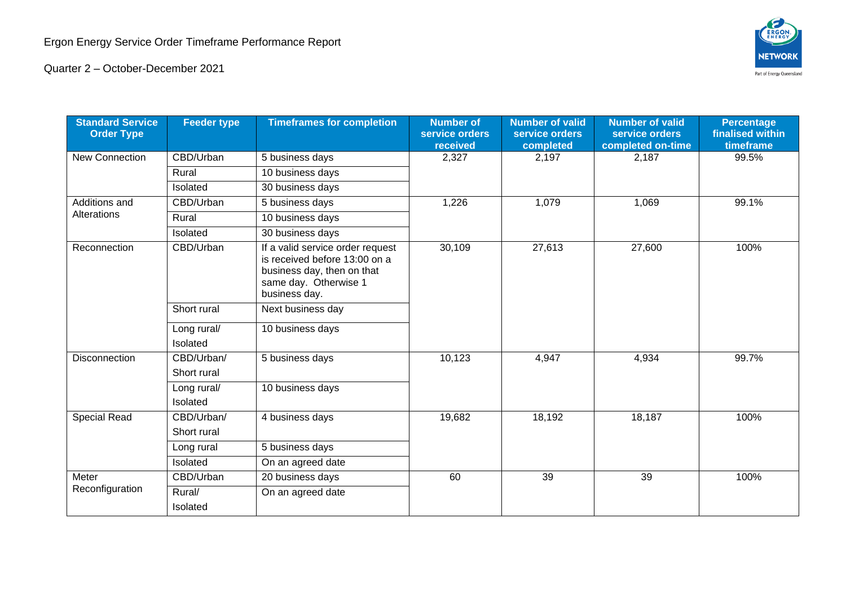

Quarter 2 – October-December 2021

| <b>Standard Service</b><br><b>Order Type</b> | <b>Feeder type</b>        | <b>Timeframes for completion</b>                                                                                                          | <b>Number of</b><br>service orders<br>received | <b>Number of valid</b><br>service orders<br>completed | <b>Number of valid</b><br>service orders<br>completed on-time | <b>Percentage</b><br>finalised within<br>timeframe |
|----------------------------------------------|---------------------------|-------------------------------------------------------------------------------------------------------------------------------------------|------------------------------------------------|-------------------------------------------------------|---------------------------------------------------------------|----------------------------------------------------|
| <b>New Connection</b>                        | CBD/Urban                 | 5 business days                                                                                                                           | 2,327                                          | 2,197                                                 | 2,187                                                         | 99.5%                                              |
|                                              | Rural                     | 10 business days                                                                                                                          |                                                |                                                       |                                                               |                                                    |
|                                              | Isolated                  | 30 business days                                                                                                                          |                                                |                                                       |                                                               |                                                    |
| Additions and<br>Alterations                 | CBD/Urban                 | 5 business days                                                                                                                           | 1,226                                          | 1,079                                                 | 1,069                                                         | 99.1%                                              |
|                                              | Rural                     | 10 business days                                                                                                                          |                                                |                                                       |                                                               |                                                    |
|                                              | Isolated                  | 30 business days                                                                                                                          |                                                |                                                       |                                                               |                                                    |
| Reconnection                                 | CBD/Urban                 | If a valid service order request<br>is received before 13:00 on a<br>business day, then on that<br>same day. Otherwise 1<br>business day. | 30,109                                         | 27,613                                                | 27,600                                                        | 100%                                               |
|                                              | Short rural               | Next business day                                                                                                                         |                                                |                                                       |                                                               |                                                    |
|                                              | Long rural/<br>Isolated   | 10 business days                                                                                                                          |                                                |                                                       |                                                               |                                                    |
| Disconnection                                | CBD/Urban/<br>Short rural | 5 business days                                                                                                                           | 10,123                                         | 4,947                                                 | 4,934                                                         | 99.7%                                              |
|                                              | Long rural/<br>Isolated   | 10 business days                                                                                                                          |                                                |                                                       |                                                               |                                                    |
| Special Read                                 | CBD/Urban/<br>Short rural | 4 business days                                                                                                                           | 19,682                                         | 18,192                                                | 18,187                                                        | 100%                                               |
|                                              | Long rural                | 5 business days                                                                                                                           |                                                |                                                       |                                                               |                                                    |
|                                              | Isolated                  | On an agreed date                                                                                                                         |                                                |                                                       |                                                               |                                                    |
| Meter<br>Reconfiguration                     | CBD/Urban                 | 20 business days                                                                                                                          | 60                                             | 39                                                    | 39                                                            | 100%                                               |
|                                              | Rural/<br>Isolated        | On an agreed date                                                                                                                         |                                                |                                                       |                                                               |                                                    |